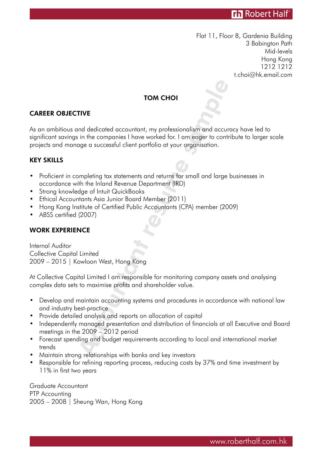# **Th** Robert Half

Flat 11, Floor 8, Gardenia Building 3 Babington Path Mid-levels Hong Kong 1212 1212 t.choi@hk.email.com

## TOM CHOI

## CAREER OBJECTIVE

TOM CHOI<br>
TIVE<br>
INTIVE<br>
In the companies I have worked for, I am eager to contrage a successful client portfolio at your organisation.<br>
Appleting tax statements and returns for small and large<br>
thin the Inland Revenue Depa As an ambitious and dedicated accountant, my professionalism and accuracy have led to significant savings in the companies I have worked for. I am eager to contribute to larger scale projects and manage a successful client portfolio at your organisation.

#### KEY SKILLS

- Proficient in completing tax statements and returns for small and large businesses in accordance with the Inland Revenue Department (IRD)
- Strong knowledge of Intuit QuickBooks
- Ethical Accountants Asia Junior Board Member (2011)
- Hong Kong Institute of Certified Public Accountants (CPA) member (2009)
- ABSS certified (2007)

#### WORK EXPERIENCE

Internal Auditor Collective Capital Limited 2009 – 2015 | Kowloon West, Hong Kong

At Collective Capital Limited I am responsible for monitoring company assets and analysing complex data sets to maximise profits and shareholder value.

- Develop and maintain accounting systems and procedures in accordance with national law and industry best-practice
- Provide detailed analysis and reports on allocation of capital
- Independently managed presentation and distribution of financials at all Executive and Board meetings in the 2009 – 2012 period
- Forecast spending and budget requirements according to local and international market trends
- Maintain strong relationships with banks and key investors
- Responsible for refining reporting process, reducing costs by 37% and time investment by 11% in first two years

Graduate Accountant PTP Accounting 2005 – 2008 | Sheung Wan, Hong Kong